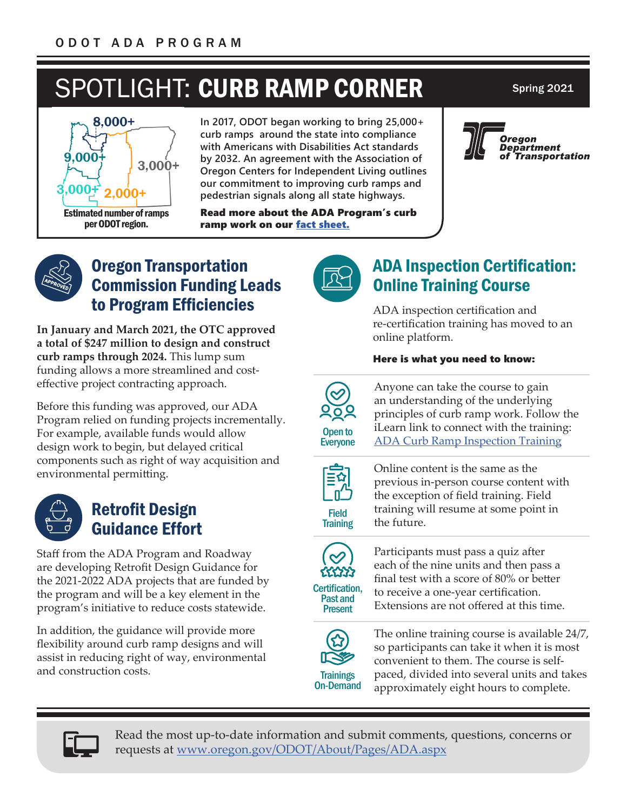# SPOTLIGHT: CURB RAMP CORNER Spring 2021



**In 2017, ODOT began working to bring 25,000+ curb ramps around the state into compliance with Americans with Disabilities Act standards by 2032. An agreement with the Association of Oregon Centers for Independent Living outlines our commitment to improving curb ramps and pedestrian signals along all state highways.**

Read more about the ADA Program's curb ramp work on our [fact sheet](https://www.oregon.gov/odot/About/Documents/ADA-Fact-Sheet.pdf).







## Oregon Transportation Commission Funding Leads to Program Efficiencies

**In January and March 2021, the OTC approved a total of \$247 million to design and construct curb ramps through 2024.** This lump sum funding allows a more streamlined and costeffective project contracting approach.

Before this funding was approved, our ADA Program relied on funding projects incrementally. For example, available funds would allow design work to begin, but delayed critical components such as right of way acquisition and environmental permitting.



# Retrofit Design Guidance Effort

Staff from the ADA Program and Roadway are developing Retrofit Design Guidance for the 2021-2022 ADA projects that are funded by the program and will be a key element in the program's initiative to reduce costs statewide.

In addition, the guidance will provide more flexibility around curb ramp designs and will assist in reducing right of way, environmental and construction costs.



# ADA Inspection Certification: Online Training Course

ADA inspection certification and re-certification training has moved to an online platform.

#### Here is what you need to know:



Anyone can take the course to gain an understanding of the underlying principles of curb ramp work. Follow the iLearn link to connect with the training: [ADA Curb Ramp Inspection Training](https://ilearn.oregon.gov/default.aspx?returnurl=contentdetails.aspx?id=09C629DF969B4E97B387432EC033944D)



Field **Training**  Online content is the same as the previous in-person course content with the exception of field training. Field training will resume at some point in the future.



Past and Present

Participants must pass a quiz after each of the nine units and then pass a final test with a score of 80% or better to receive a one-year certification. Extensions are not offered at this time.



The online training course is available 24/7, so participants can take it when it is most convenient to them. The course is selfpaced, divided into several units and takes approximately eight hours to complete.



Read the most up-to-date information and submit comments, questions, concerns or requests at [www.oregon.gov/ODOT/About/Pages/ADA.aspx](http://www.oregon.gov/ODOT/About/Pages/ADA.aspx)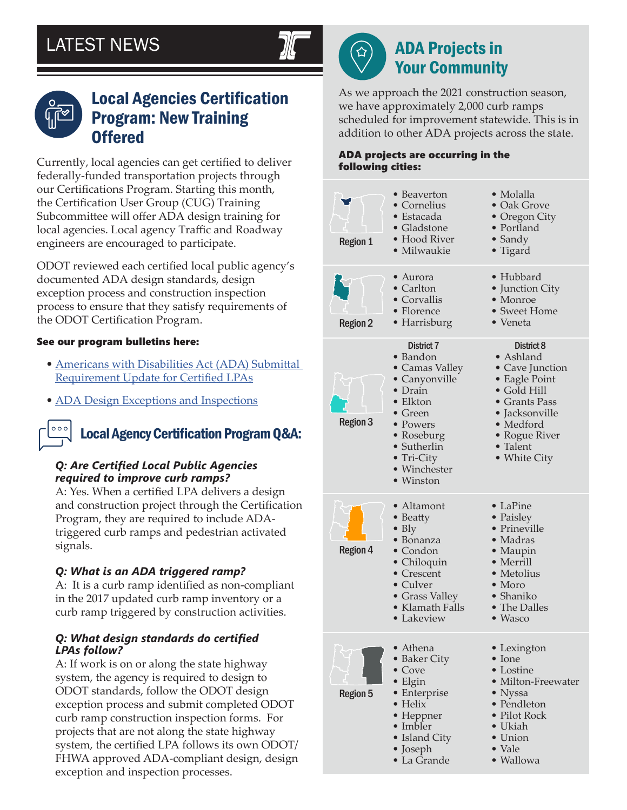

 $\bigcirc$ 

# ADA Projects in Your Community

As we approach the 2021 construction season, we have approximately 2,000 curb ramps scheduled for improvement statewide. This is in addition to other ADA projects across the state.

#### ADA projects are occurring in the following cities:





## Local Agencies Certification Program: New Training **Offered**

Currently, local agencies can get certified to deliver federally-funded transportation projects through our Certifications Program. Starting this month, the Certification User Group (CUG) Training Subcommittee will offer ADA design training for local agencies. Local agency Traffic and Roadway engineers are encouraged to participate.

ODOT reviewed each certified local public agency's documented ADA design standards, design exception process and construction inspection process to ensure that they satisfy requirements of the ODOT Certification Program.

#### See our program bulletins here:

- [Americans with Disabilities Act \(ADA\) Submittal](https://www.oregon.gov/odot/LocalGov/Documents/CertificationBulletin-101-27.pdf)  [Requirement Update for Certified LPAs](https://www.oregon.gov/odot/LocalGov/Documents/CertificationBulletin-101-27.pdf)
- [ADA Design Exceptions and Inspections](https://nam12.safelinks.protection.outlook.com/?url=https%3A%2F%2Fwww.oregon.gov%2Fodot%2FLocalGov%2FDocuments%2FCertificationBulletin-101-19.pdf&data=04%7C01%7CAlexander.Nelson%40hdrinc.com%7C770799ca41624a1cc9cd08d90429d499%7C3667e201cbdc48b39b425d2d3f16e2a9%7C0%7C1%7C637545399978472406%7CUnknown%7CTWFpbGZsb3d8eyJWIjoiMC4wLjAwMDAiLCJQIjoiV2luMzIiLCJBTiI6Ik1haWwiLCJXVCI6Mn0%3D%7C1000&sdata=KdXaNf6arLWVWSiYvSJQGfDOy%2Fb62pmzNj135%2Bd3PDs%3D&reserved=0)

# Local Agency Certification Program Q&A:

#### *Q: Are Certified Local Public Agencies required to improve curb ramps?*

A: Yes. When a certified LPA delivers a design and construction project through the Certification Program, they are required to include ADAtriggered curb ramps and pedestrian activated signals.

#### *Q: What is an ADA triggered ramp?*

A: It is a curb ramp identified as non-compliant in the 2017 updated curb ramp inventory or a curb ramp triggered by construction activities.

#### *Q: What design standards do certified LPAs follow?*

A: If work is on or along the state highway system, the agency is required to design to ODOT standards, follow the ODOT design exception process and submit completed ODOT curb ramp construction inspection forms. For projects that are not along the state highway system, the certified LPA follows its own ODOT/ FHWA approved ADA-compliant design, design exception and inspection processes.